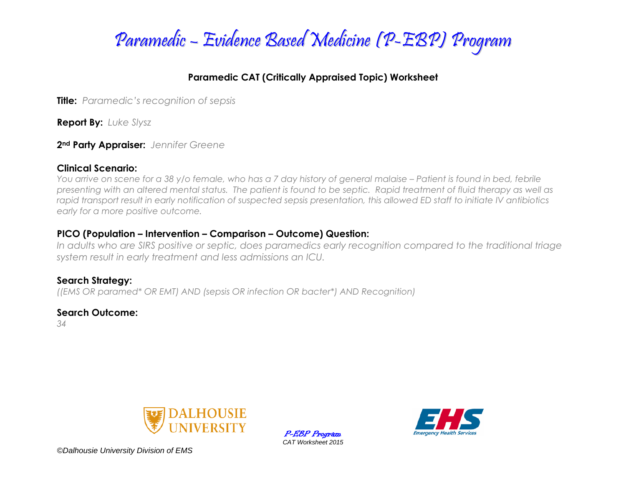

## **Paramedic CAT (Critically Appraised Topic) Worksheet**

**Title:** *Paramedic's recognition of sepsis*

**Report By:** *Luke Slysz*

**2nd Party Appraiser:** *Jennifer Greene*

### **Clinical Scenario:**

*You arrive on scene for a 38 y/o female, who has a 7 day history of general malaise – Patient is found in bed, febrile presenting with an altered mental status. The patient is found to be septic. Rapid treatment of fluid therapy as well as rapid transport result in early notification of suspected sepsis presentation, this allowed ED staff to initiate IV antibiotics early for a more positive outcome.*

## **PICO (Population – Intervention – Comparison – Outcome) Question:**

*In adults who are SIRS positive or septic, does paramedics early recognition compared to the traditional triage system result in early treatment and less admissions an ICU.*

### **Search Strategy:** *((EMS OR paramed\* OR EMT) AND (sepsis OR infection OR bacter\*) AND Recognition)*

## **Search Outcome:**

*34*



P-EBP Program *CAT Worksheet 2015*



*©Dalhousie University Division of EMS*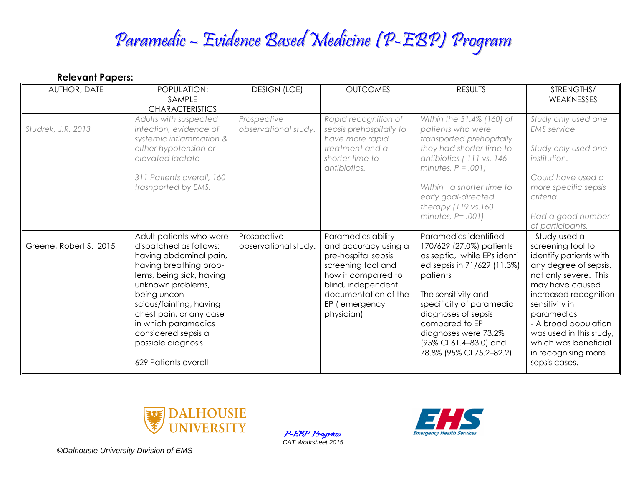# Paramedic – Evidence Based Medicine (P-EBP) Program

| <b>Relevant Papers:</b> |                                                                                                                                                                                                                                                                                                                           |                                     |                                                                                                                                                                                             |                                                                                                                                                                                                                                                                                                       |                                                                                                                                                                                                                                                                                                                |
|-------------------------|---------------------------------------------------------------------------------------------------------------------------------------------------------------------------------------------------------------------------------------------------------------------------------------------------------------------------|-------------------------------------|---------------------------------------------------------------------------------------------------------------------------------------------------------------------------------------------|-------------------------------------------------------------------------------------------------------------------------------------------------------------------------------------------------------------------------------------------------------------------------------------------------------|----------------------------------------------------------------------------------------------------------------------------------------------------------------------------------------------------------------------------------------------------------------------------------------------------------------|
| AUTHOR, DATE            | POPULATION:<br>SAMPLE<br><b>CHARACTERISTICS</b>                                                                                                                                                                                                                                                                           | <b>DESIGN (LOE)</b>                 | <b>OUTCOMES</b>                                                                                                                                                                             | <b>RESULTS</b>                                                                                                                                                                                                                                                                                        | STRENGTHS/<br>WEAKNESSES                                                                                                                                                                                                                                                                                       |
| Studrek, J.R. 2013      | Adults with suspected<br>infection, evidence of<br>systemic inflammation &<br>either hypotension or<br>elevated lactate<br>311 Patients overall, 160<br>trasnported by EMS.                                                                                                                                               | Prospective<br>observational study. | Rapid recognition of<br>sepsis prehospitally to<br>have more rapid<br>treatment and a<br>shorter time to<br>antibiotics.                                                                    | Within the 51.4% (160) of<br>patients who were<br>transported prehopitally<br>they had shorter time to<br>antibiotics (111 vs. 146<br>minutes, $P = .001$ )<br>Within a shorter time to<br>early goal-directed<br>therapy $(119 \text{ vs. } 160$<br>minutes, $P = .001$ )                            | Study only used one<br><b>EMS</b> service<br>Study only used one<br>institution.<br>Could have used a<br>more specific sepsis<br>criteria.<br>Had a good number<br>of participants.                                                                                                                            |
| Greene, Robert S. 2015  | Adult patients who were<br>dispatched as follows:<br>having abdominal pain,<br>having breathing prob-<br>lems, being sick, having<br>unknown problems,<br>being uncon-<br>scious/fainting, having<br>chest pain, or any case<br>in which paramedics<br>considered sepsis a<br>possible diagnosis.<br>629 Patients overall | Prospective<br>observational study. | Paramedics ability<br>and accuracy using a<br>pre-hospital sepsis<br>screening tool and<br>how it compaired to<br>blind, independent<br>documentation of the<br>EP (emergency<br>physician) | Paramedics identified<br>170/629 (27.0%) patients<br>as septic, while EPs identi<br>ed sepsis in 71/629 (11.3%)<br>patients<br>The sensitivity and<br>specificity of paramedic<br>diagnoses of sepsis<br>compared to EP<br>diagnoses were 73.2%<br>(95% CI 61.4-83.0) and<br>78.8% (95% CI 75.2-82.2) | - Study used a<br>screening tool to<br>identify patients with<br>any degree of sepsis,<br>not only severe. This<br>may have caused<br>increased recognition<br>sensitivity in<br>paramedics<br>- A broad population<br>was used in this study,<br>which was beneficial<br>in recognising more<br>sepsis cases. |



P-EBP Program *CAT Worksheet 2015*



*©Dalhousie University Division of EMS*